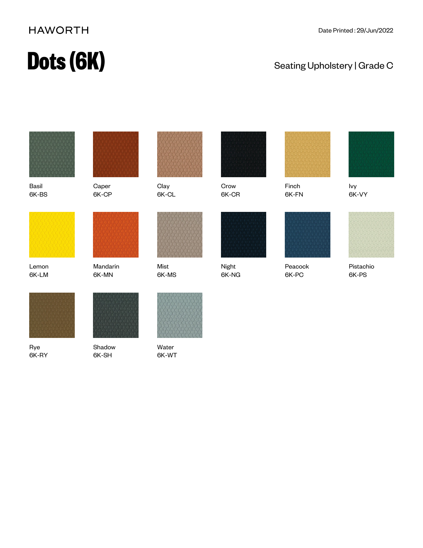### **HAWORTH**

## **Dots (6K)** Seating Upholstery | Grade C



Basil 6K-BS

Lemon 6K-LM



6K-CP



Mandarin 6K-MN



**Clay** 6K-CL

Crow 6K-CR

Night 6K-NG



Finch 6K-FN



Ivy 6K-VY





Mist 6K-MS





Peacock 6K-PC



Pistachio 6K-PS



Rye 6K-RY



Shadow 6K-SH



Water 6K-WT

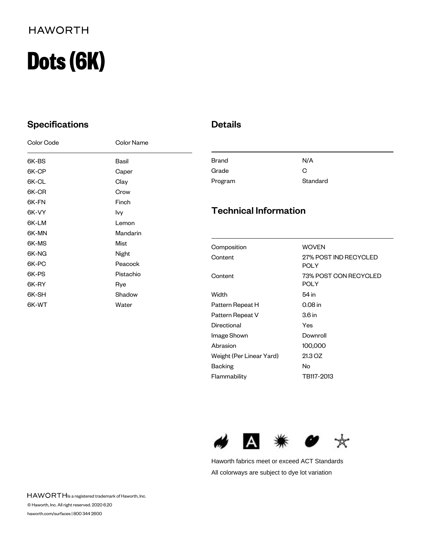### **HAWORTH**

# **Dots (6K)**

### **Specifications**

| Color Code | Color Name |
|------------|------------|
| 6K-BS      | Basil      |
| 6K-CP      | Caper      |
| 6K-CL      | Clay       |
| 6K-CR      | Crow       |
| 6K-FN      | Finch      |
| 6K-VY      | lvy        |
| 6K-LM      | Lemon      |
| 6K-MN      | Mandarin   |
| 6K-MS      | Mist       |
| 6K-NG      | Night      |
| 6K-PC      | Peacock    |
| 6K-PS      | Pistachio  |
| 6K-RY      | Rye        |
| 6K-SH      | Shadow     |
| 6K-WT      | Water      |

### Details

| <b>Brand</b> | N/A      |
|--------------|----------|
| Grade        | G        |
| Program      | Standard |

### Technical Information

| Composition              | <b>WOVEN</b>          |
|--------------------------|-----------------------|
| Content                  | 27% POST IND RECYCLED |
|                          | POLY                  |
| Content                  | 73% POST CON RECYCLED |
|                          | POLY                  |
| Width                    | 54 in                 |
| Pattern Repeat H         | 0.08 in               |
| Pattern Repeat V         | 3.6 <sub>in</sub>     |
| Directional              | Yes                   |
| Image Shown              | Downroll              |
| Abrasion                 | 100,000               |
| Weight (Per Linear Yard) | 21.3 OZ               |
| Backing                  | No                    |
| Flammability             | TB117-2013            |



Haworth fabrics meet or exceed ACT Standards All colorways are subject to dye lot variation